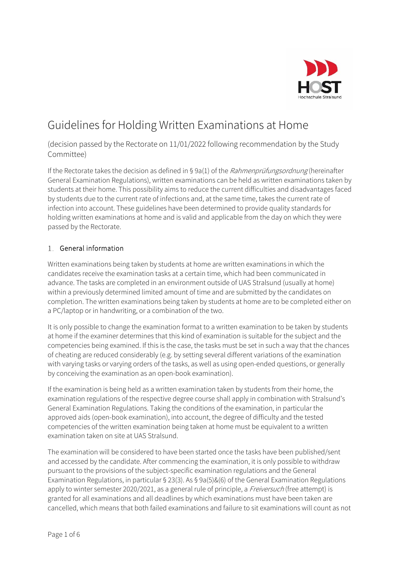

# Guidelines for Holding Written Examinations at Home

(decision passed by the Rectorate on 11/01/2022 following recommendation by the Study Committee)

If the Rectorate takes the decision as defined in § 9a(1) of the Rahmenprüfungsordnung (hereinafter General Examination Regulations), written examinations can be held as written examinations taken by students at their home. This possibility aims to reduce the current difficulties and disadvantages faced by students due to the current rate of infections and, at the same time, takes the current rate of infection into account. These guidelines have been determined to provide quality standards for holding written examinations at home and is valid and applicable from the day on which they were passed by the Rectorate.

# General information

Written examinations being taken by students at home are written examinations in which the candidates receive the examination tasks at a certain time, which had been communicated in advance. The tasks are completed in an environment outside of UAS Stralsund (usually at home) within a previously determined limited amount of time and are submitted by the candidates on completion. The written examinations being taken by students at home are to be completed either on a PC/laptop or in handwriting, or a combination of the two.

It is only possible to change the examination format to a written examination to be taken by students at home if the examiner determines that this kind of examination is suitable for the subject and the competencies being examined. If this is the case, the tasks must be set in such a way that the chances of cheating are reduced considerably (e.g. by setting several different variations of the examination with varying tasks or varying orders of the tasks, as well as using open-ended questions, or generally by conceiving the examination as an open-book examination).

If the examination is being held as a written examination taken by students from their home, the examination regulations of the respective degree course shall apply in combination with Stralsund's General Examination Regulations. Taking the conditions of the examination, in particular the approved aids (open-book examination), into account, the degree of difficulty and the tested competencies of the written examination being taken at home must be equivalent to a written examination taken on site at UAS Stralsund.

The examination will be considered to have been started once the tasks have been published/sent and accessed by the candidate. After commencing the examination, it is only possible to withdraw pursuant to the provisions of the subject-specific examination regulations and the General Examination Regulations, in particular § 23(3). As § 9a(5)&(6) of the General Examination Regulations apply to winter semester 2020/2021, as a general rule of principle, a Freiversuch (free attempt) is granted for all examinations and all deadlines by which examinations must have been taken are cancelled, which means that both failed examinations and failure to sit examinations will count as not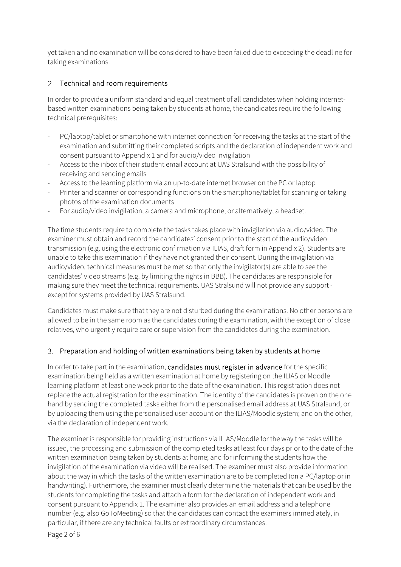yet taken and no examination will be considered to have been failed due to exceeding the deadline for taking examinations.

# 2. Technical and room requirements

In order to provide a uniform standard and equal treatment of all candidates when holding internetbased written examinations being taken by students at home, the candidates require the following technical prerequisites:

- PC/laptop/tablet or smartphone with internet connection for receiving the tasks at the start of the examination and submitting their completed scripts and the declaration of independent work and consent pursuant to Appendix 1 and for audio/video invigilation
- Access to the inbox of their student email account at UAS Stralsund with the possibility of receiving and sending emails
- Access to the learning platform via an up-to-date internet browser on the PC or laptop
- Printer and scanner or corresponding functions on the smartphone/tablet for scanning or taking photos of the examination documents
- For audio/video invigilation, a camera and microphone, or alternatively, a headset.

The time students require to complete the tasks takes place with invigilation via audio/video. The examiner must obtain and record the candidates' consent prior to the start of the audio/video transmission (e.g. using the electronic confirmation via ILIAS, draft form in Appendix 2). Students are unable to take this examination if they have not granted their consent. During the invigilation via audio/video, technical measures must be met so that only the invigilator(s) are able to see the candidates' video streams (e.g. by limiting the rights in BBB). The candidates are responsible for making sure they meet the technical requirements. UAS Stralsund will not provide any support except for systems provided by UAS Stralsund.

Candidates must make sure that they are not disturbed during the examinations. No other persons are allowed to be in the same room as the candidates during the examination, with the exception of close relatives, who urgently require care or supervision from the candidates during the examination.

#### Preparation and holding of written examinations being taken by students at home

In order to take part in the examination, candidates must register in advance for the specific examination being held as a written examination at home by registering on the ILIAS or Moodle learning platform at least one week prior to the date of the examination. This registration does not replace the actual registration for the examination. The identity of the candidates is proven on the one hand by sending the completed tasks either from the personalised email address at UAS Stralsund, or by uploading them using the personalised user account on the ILIAS/Moodle system; and on the other, via the declaration of independent work.

The examiner is responsible for providing instructions via ILIAS/Moodle for the way the tasks will be issued, the processing and submission of the completed tasks at least four days prior to the date of the written examination being taken by students at home; and for informing the students how the invigilation of the examination via video will be realised. The examiner must also provide information about the way in which the tasks of the written examination are to be completed (on a PC/laptop or in handwriting). Furthermore, the examiner must clearly determine the materials that can be used by the students for completing the tasks and attach a form for the declaration of independent work and consent pursuant to Appendix 1. The examiner also provides an email address and a telephone number (e.g. also GoToMeeting) so that the candidates can contact the examiners immediately, in particular, if there are any technical faults or extraordinary circumstances.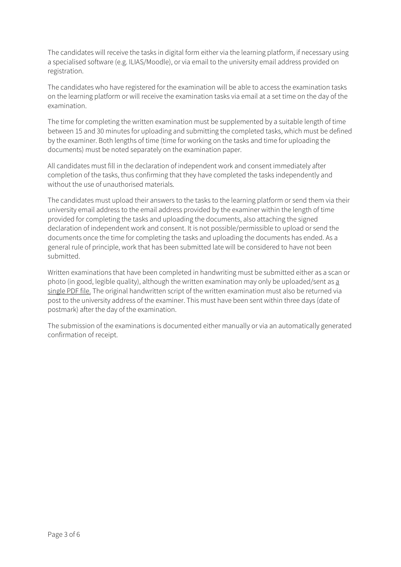The candidates will receive the tasks in digital form either via the learning platform, if necessary using a specialised software (e.g. ILIAS/Moodle), or via email to the university email address provided on registration.

The candidates who have registered for the examination will be able to access the examination tasks on the learning platform or will receive the examination tasks via email at a set time on the day of the examination.

The time for completing the written examination must be supplemented by a suitable length of time between 15 and 30 minutes for uploading and submitting the completed tasks, which must be defined by the examiner. Both lengths of time (time for working on the tasks and time for uploading the documents) must be noted separately on the examination paper.

All candidates must fill in the declaration of independent work and consent immediately after completion of the tasks, thus confirming that they have completed the tasks independently and without the use of unauthorised materials.

The candidates must upload their answers to the tasks to the learning platform or send them via their university email address to the email address provided by the examiner within the length of time provided for completing the tasks and uploading the documents, also attaching the signed declaration of independent work and consent. It is not possible/permissible to upload or send the documents once the time for completing the tasks and uploading the documents has ended. As a general rule of principle, work that has been submitted late will be considered to have not been submitted.

Written examinations that have been completed in handwriting must be submitted either as a scan or photo (in good, legible quality), although the written examination may only be uploaded/sent as a single PDF file. The original handwritten script of the written examination must also be returned via post to the university address of the examiner. This must have been sent within three days (date of postmark) after the day of the examination.

The submission of the examinations is documented either manually or via an automatically generated confirmation of receipt.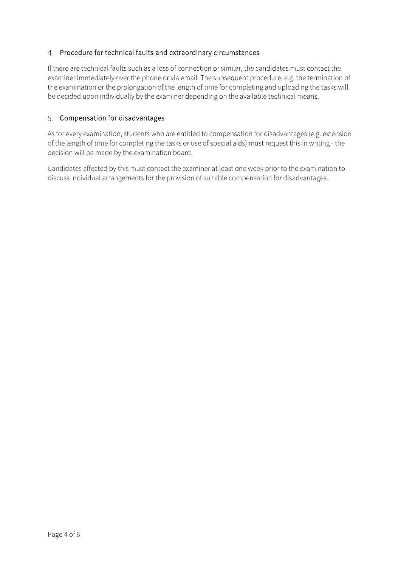### 4. Procedure for technical faults and extraordinary circumstances

If there are technical faults such as a loss of connection or similar, the candidates must contact the examiner immediately over the phone or via email. The subsequent procedure, e.g. the termination of the examination or the prolongation of the length of time for completing and uploading the tasks will be decided upon individually by the examiner depending on the available technical means.

#### 5. Compensation for disadvantages

As for every examination, students who are entitled to compensation for disadvantages (e.g. extension of the length of time for completing the tasks or use of special aids) must request this in writing - the decision will be made by the examination board.

Candidates affected by this must contact the examiner at least one week prior to the examination to discuss individual arrangements for the provision of suitable compensation for disadvantages.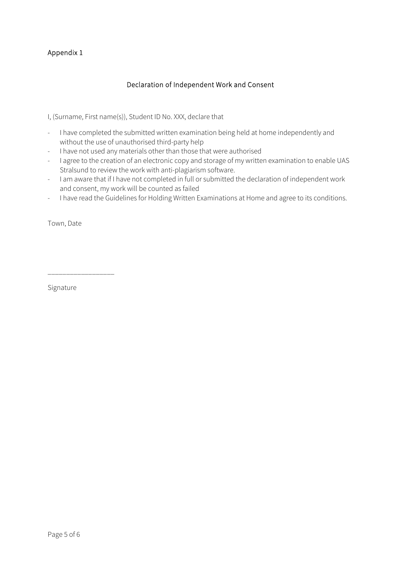# Appendix 1

#### Declaration of Independent Work and Consent

I, (Surname, First name(s)), Student ID No. XXX, declare that

- I have completed the submitted written examination being held at home independently and without the use of unauthorised third-party help
- I have not used any materials other than those that were authorised
- I agree to the creation of an electronic copy and storage of my written examination to enable UAS Stralsund to review the work with anti-plagiarism software.
- I am aware that if I have not completed in full or submitted the declaration of independent work and consent, my work will be counted as failed
- I have read the Guidelines for Holding Written Examinations at Home and agree to its conditions.

Town, Date

Signature

\_\_\_\_\_\_\_\_\_\_\_\_\_\_\_\_\_\_